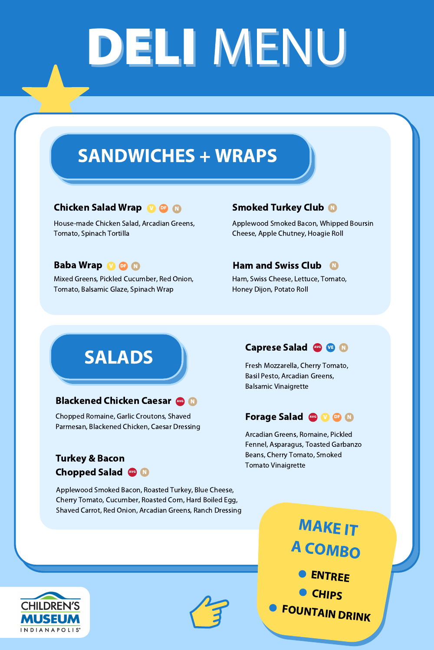# DELI MENU

## SANDWICHES + WRAPS

### Chicken Salad Wrap **W** OF

House-made Chicken Salad, Arcadian Greens, Tomato, Spinach Tortilla

### N Smoked Turkey Club

Mixed Greens, Pickled Cucumber, Red Onion, Tomato, Balsamic Glaze, Spinach Wrap

### N N N N N N N Ham and Swiss Club

Applewood Smoked Bacon, Whipped Boursin

## Cheese, Apple Chutney, Hoagie Roll

## Baba Wrap V OF

Ham, Swiss Cheese, Lettuce, Tomato, Honey Dijon, Potato Roll

## Ham and Swiss Club \$100 million states with the swiss Club \$100 million states with the swiss Club \$100 million SALADS

**ENTREE CHIPS** FOUNTAIN DRINK MAKE IT <sup>A</sup> COMBO



## Caprese Salad Avg VE N

Applewood Smoked Bacon, Roasted Turkey, Blue Cheese, Cherry Tomato, Cucumber, Roasted Corn, Hard Boiled Egg, Shaved Carrot, Red Onion, Arcadian Greens, Ranch Dressing





### Blackened Chicken Caesar AVG N

### Turkey & Bacon Chopped Salad AVG N

Fresh Mozzarella, Cherry Tomato, Basil Pesto, Arcadian Greens, Balsamic Vinaigrette

## Forage Salad AvG V OF N

Arcadian Greens, Romaine, Pickled Fennel, Asparagus, Toasted Garbanzo

Beans, Cherry Tomato, Smoked Tomato Vinaigrette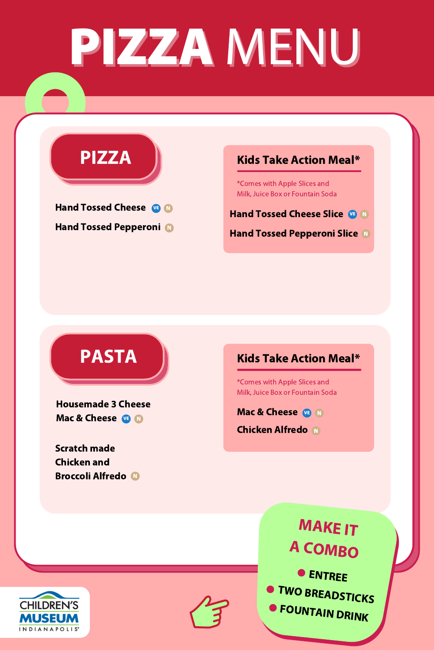# PIZZA MENU

PIZZA



O ENTREE MAKE IT <sup>A</sup> COMBO

**O TWO BREADSTICKS** 

**O FOUNTAIN DRINK** 

Hand Tossed Cheese Slice VE N

### Hand Tossed Pepperoni N

### Hand Tossed Pepperoni Slice N

## Kids Take Action Meal\*

Housemade 3 Cheese Mac & Cheese VE N

## Chicken and Broccoli Alfredo





\*Comes with Apple Slices and Milk, Juice Box or Fountain Soda

Mac & Cheese Chicken Alfredo N VE N

Hand Tossed Cheese VE N

Scratch made

## Kids Take Action Meal\*

\*Comes with Apple Slices and Milk, Juice Box or Fountain Soda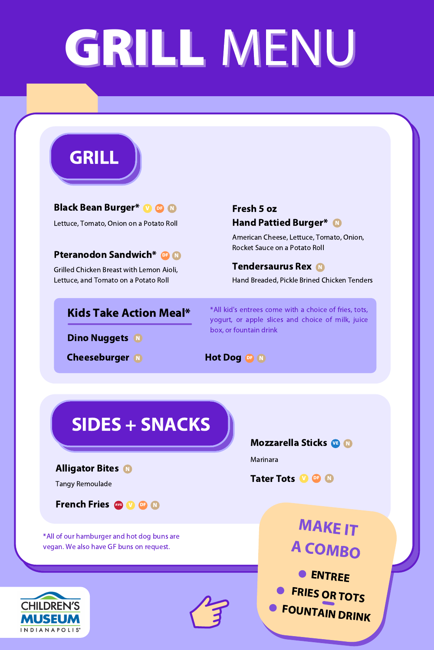# GRILLMENU



**Black Bean Burger\* V OF N** 

Lettuce, Tomato, Onion on a Potato Roll

**Fresh 5 oz Hand Pattied Burger\*** 

### **Pteranodon Sandwich\* OF N**

Grilled Chicken Breast with Lemon Aioli, Lettuce, and Tomato on a Potato Roll

American Cheese, Lettuce, Tomato, Onion, **Rocket Sauce on a Potato Roll** 

### **Tendersaurus Rex M**

Hand Breaded, Pickle Brined Chicken Tenders

## **Kids Take Action Meal\***

**Dino Nuggets N** 

**Cheeseburger** 

\*All kid's entrees come with a choice of fries, tots, yogurt, or apple slices and choice of milk, juice box, or fountain drink

Hot Dog OF N

## SIDES + SNACKS

**Mozzarella Sticks & N** 

**Alligator Bites N** 

**Tangy Remoulade** 

## **French Fries Avg W DF M**

\*All of our hamburger and hot dog buns are vegan. We also have GF buns on request.





Marinara



**MAKEIT** A COMBO

**O ENTREE** FRIES OR TOTS<br>FOUNTAIN DRINK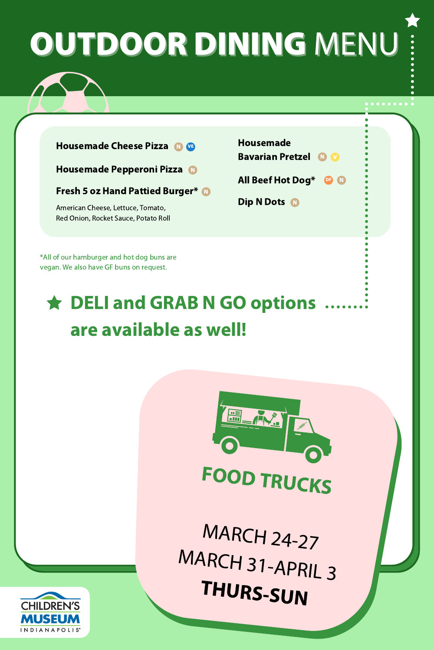Red Onion, Rocket Sauce, Potato Roll

## OUTDOOR DINING MENU Housemade Pepperoni Pizza N Fresh 5 oz Hand Pattied Burger\* N American Cheese, Lettuce, Tomato, Housemade Bavarian Pretzel All Beef Hot Dog\* Dip N Dots N DF N V Housemade Cheese Pizza

\*All of our hamburger and hot dog buns are vegan. We also have GF buns on request.

FOOD TRUCKS

MARCH 24-27 MARCH 31-APRIL <sup>3</sup> THURS-SUN



## DELI and GRAB N GO options are available as well!

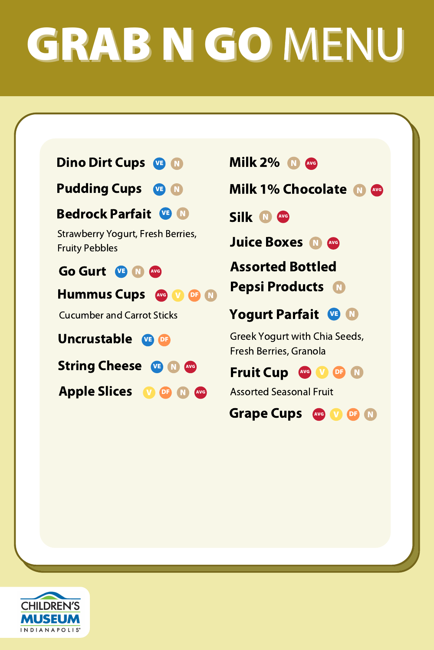Uncrustable VE DF

Strawberry Yogurt, Fresh Berries, Fruity Pebbles

String Cheese VE N AVG

Cucumber and Carrot Sticks

Fruit Cup AVG V DF N

Assorted Bottled Pepsi Products N

# GRAB N GO MENU



Apple Slices V DF N AVG Greek Yogurt with Chia Seeds, Fresh Berries, Granola

Go Gurt Hummus Cups VE N AVG (V DF N AVG

> Yogurt Parfait VE N

Assorted Seasonal Fruit

Grape Cups WG V OF N



Juice Boxes N AVG